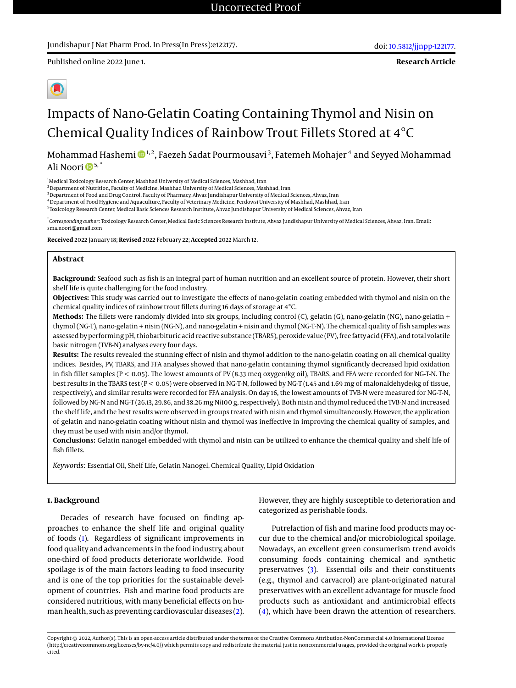Published online 2022 June 1.

**Research Article**



# Impacts of Nano-Gelatin Coating Containing Thymol and Nisin on Chemical Quality Indices of Rainbow Trout Fillets Stored at 4°C

Mohammad Hashemi �������, Faezeh Sadat Pourmousavi $^3$ , Fatemeh Mohajer $^4$  and Seyyed Mohammad Ali Noori D5,\*

<sup>1</sup>Medical Toxicology Research Center, Mashhad University of Medical Sciences, Mashhad, Iran

<sup>2</sup> Department of Nutrition, Faculty of Medicine, Mashhad University of Medical Sciences, Mashhad, Iran

<sup>3</sup>Department of Food and Drug Control, Faculty of Pharmacy, Ahvaz Jundishapur University of Medical Sciences, Ahvaz, Iran

<sup>4</sup>Department of Food Hygiene and Aquaculture, Faculty of Veterinary Medicine, Ferdowsi University of Mashhad, Mashhad, Iran

<sup>5</sup> Toxicology Research Center, Medical Basic Sciences Research Institute, Ahvaz Jundishapur University of Medical Sciences, Ahvaz, Iran

\* *Corresponding author*: Toxicology Research Center, Medical Basic Sciences Research Institute, Ahvaz Jundishapur University of Medical Sciences, Ahvaz, Iran. Email: sma.noori@gmail.com

**Received** 2022 January 18; **Revised** 2022 February 22; **Accepted** 2022 March 12.

## **Abstract**

**Background:** Seafood such as fish is an integral part of human nutrition and an excellent source of protein. However, their short shelf life is quite challenging for the food industry.

**Objectives:** This study was carried out to investigate the effects of nano-gelatin coating embedded with thymol and nisin on the chemical quality indices of rainbow trout fillets during 16 days of storage at 4°C.

**Methods:** The fillets were randomly divided into six groups, including control (C), gelatin (G), nano-gelatin (NG), nano-gelatin + thymol (NG-T), nano-gelatin + nisin (NG-N), and nano-gelatin + nisin and thymol (NG-T-N). The chemical quality of fish samples was assessed by performing pH, thiobarbituric acid reactive substance (TBARS), peroxide value (PV), free fatty acid (FFA), and total volatile basic nitrogen (TVB-N) analyses every four days.

**Results:** The results revealed the stunning effect of nisin and thymol addition to the nano-gelatin coating on all chemical quality indices. Besides, PV, TBARS, and FFA analyses showed that nano-gelatin containing thymol significantly decreased lipid oxidation in fish fillet samples (P < 0.05). The lowest amounts of PV (8.33 meq oxygen/kg oil), TBARS, and FFA were recorded for NG-T-N. The best results in the TBARS test (P < 0.05) were observed in NG-T-N, followed by NG-T (1.45 and 1.69 mg of malonaldehyde/kg of tissue, respectively), and similar results were recorded for FFA analysis. On day 16, the lowest amounts of TVB-N were measured for NG-T-N, followed by NG-N and NG-T (26.13, 29.86, and 38.26 mg N/100 g, respectively). Both nisin and thymol reduced the TVB-N and increased the shelf life, and the best results were observed in groups treated with nisin and thymol simultaneously. However, the application of gelatin and nano-gelatin coating without nisin and thymol was ineffective in improving the chemical quality of samples, and they must be used with nisin and/or thymol.

**Conclusions:** Gelatin nanogel embedded with thymol and nisin can be utilized to enhance the chemical quality and shelf life of fish fillets.

*Keywords:* Essential Oil, Shelf Life, Gelatin Nanogel, Chemical Quality, Lipid Oxidation

## **1. Background**

Decades of research have focused on finding approaches to enhance the shelf life and original quality of foods [\(1\)](#page-6-0). Regardless of significant improvements in food quality and advancements in the food industry, about one-third of food products deteriorate worldwide. Food spoilage is of the main factors leading to food insecurity and is one of the top priorities for the sustainable development of countries. Fish and marine food products are considered nutritious, with many beneficial effects on human health, such as preventing cardiovascular diseases [\(2\)](#page-7-0).

However, they are highly susceptible to deterioration and categorized as perishable foods.

Putrefaction of fish and marine food products may occur due to the chemical and/or microbiological spoilage. Nowadays, an excellent green consumerism trend avoids consuming foods containing chemical and synthetic preservatives [\(3\)](#page-7-1). Essential oils and their constituents (e.g., thymol and carvacrol) are plant-originated natural preservatives with an excellent advantage for muscle food products such as antioxidant and antimicrobial effects [\(4\)](#page-7-2), which have been drawn the attention of researchers.

Copyright © 2022, Author(s). This is an open-access article distributed under the terms of the Creative Commons Attribution-NonCommercial 4.0 International License (http://creativecommons.org/licenses/by-nc/4.0/) which permits copy and redistribute the material just in noncommercial usages, provided the original work is properly cited.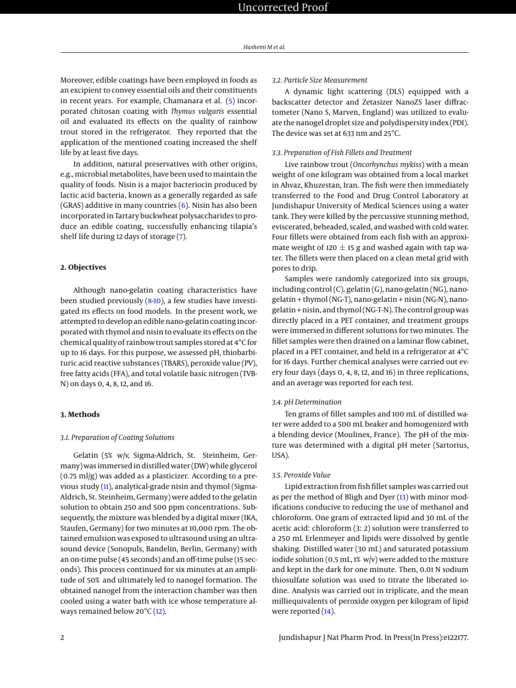Moreover, edible coatings have been employed in foods as an excipient to convey essential oils and their constituents in recent years. For example, Chamanara et al. [\(5\)](#page-7-3) incorporated chitosan coating with *Thymus vulgaris* essential oil and evaluated its effects on the quality of rainbow trout stored in the refrigerator. They reported that the application of the mentioned coating increased the shelf life by at least five days.

In addition, natural preservatives with other origins, e.g.,microbialmetabolites, have been used tomaintain the quality of foods. Nisin is a major bacteriocin produced by lactic acid bacteria, known as a generally regarded as safe (GRAS) additive in many countries  $(6)$ . Nisin has also been incorporated in Tartary buckwheat polysaccharides to produce an edible coating, successfully enhancing tilapia's shelf life during 12 days of storage [\(7\)](#page-7-5).

## **2. Objectives**

Although nano-gelatin coating characteristics have been studied previously [\(8-](#page-7-6)[10\)](#page-7-7), a few studies have investigated its effects on food models. In the present work, we attempted to develop an edible nano-gelatin coating incorporated with thymol and nisin to evaluate its effects on the chemical quality of rainbow trout samples stored at 4°C for up to 16 days. For this purpose, we assessed pH, thiobarbituric acid reactive substances (TBARS), peroxide value (PV), free fatty acids (FFA), and total volatile basic nitrogen (TVB-N) on days 0, 4, 8, 12, and 16.

## **3. Methods**

#### *3.1. Preparation of Coating Solutions*

Gelatin (5% w/v, Sigma-Aldrich, St. Steinheim, Germany) was immersed in distilled water (DW) while glycerol (0.75 ml/g) was added as a plasticizer. According to a previous study [\(11\)](#page-7-8), analytical-grade nisin and thymol (Sigma-Aldrich, St. Steinheim, Germany) were added to the gelatin solution to obtain 250 and 500 ppm concentrations. Subsequently, the mixture was blended by a digital mixer (IKA, Staufen, Germany) for two minutes at 10,000 rpm. The obtained emulsion was exposed to ultrasound using an ultrasound device (Sonopuls, Bandelin, Berlin, Germany) with an on-time pulse (45 seconds) and an off-time pulse (15 seconds). This process continued for six minutes at an amplitude of 50% and ultimately led to nanogel formation. The obtained nanogel from the interaction chamber was then cooled using a water bath with ice whose temperature always remained below 20°C [\(12\)](#page-7-9).

#### *3.2. Particle Size Measurement*

A dynamic light scattering (DLS) equipped with a backscatter detector and Zetasizer NanoZS laser diffractometer (Nano S, Marven, England) was utilized to evaluate the nanogel droplet size and polydispersity index (PDI). The device was set at 633 nm and 25°C.

## *3.3. Preparation of Fish Fillets and Treatment*

Live rainbow trout (*Oncorhynchus mykiss*) with a mean weight of one kilogram was obtained from a local market in Ahvaz, Khuzestan, Iran. The fish were then immediately transferred to the Food and Drug Control Laboratory at Jundishapur University of Medical Sciences using a water tank. They were killed by the percussive stunning method, eviscerated, beheaded, scaled, and washed with cold water. Four fillets were obtained from each fish with an approximate weight of 120  $\pm$  15 g and washed again with tap water. The fillets were then placed on a clean metal grid with pores to drip.

Samples were randomly categorized into six groups, including control (C), gelatin (G), nano-gelatin (NG), nanogelatin + thymol (NG-T), nano-gelatin + nisin (NG-N), nanogelatin + nisin, and thymol (NG-T-N). The control group was directly placed in a PET container, and treatment groups were immersed in different solutions for two minutes. The fillet samples were then drained on a laminar flow cabinet, placed in a PET container, and held in a refrigerator at 4°C for 16 days. Further chemical analyses were carried out every four days (days 0, 4, 8, 12, and 16) in three replications, and an average was reported for each test.

#### *3.4. pH Determination*

Ten grams of fillet samples and 100 mL of distilled water were added to a 500 mL beaker and homogenized with a blending device (Moulinex, France). The pH of the mixture was determined with a digital pH meter (Sartorius, USA).

## *3.5. Peroxide Value*

Lipid extraction from fish fillet samples was carried out as per the method of Bligh and Dyer [\(13\)](#page-7-10) with minor modifications conducive to reducing the use of methanol and chloroform. One gram of extracted lipid and 30 mL of the acetic acid: chloroform (3: 2) solution were transferred to a 250 mL Erlenmeyer and lipids were dissolved by gentle shaking. Distilled water (30 mL) and saturated potassium iodide solution (0.5 mL, 1% w/v) were added to the mixture and kept in the dark for one minute. Then, 0.01 N sodium thiosulfate solution was used to titrate the liberated iodine. Analysis was carried out in triplicate, and the mean milliequivalents of peroxide oxygen per kilogram of lipid were reported  $(14)$ .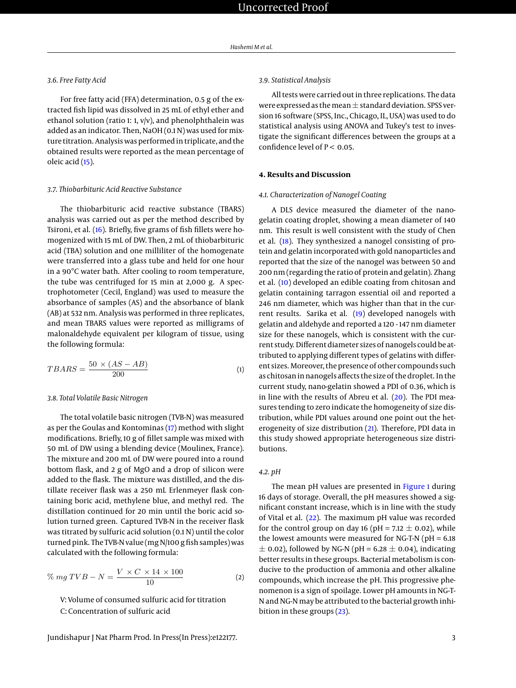## *3.6. Free Fatty Acid*

For free fatty acid (FFA) determination, 0.5 g of the extracted fish lipid was dissolved in 25 mL of ethyl ether and ethanol solution (ratio 1: 1,  $v/v$ ), and phenolphthalein was added as an indicator. Then, NaOH (0.1 N) was used for mixture titration. Analysis was performed in triplicate, and the obtained results were reported as the mean percentage of oleic acid [\(15\)](#page-7-12).

## *3.7. Thiobarbituric Acid Reactive Substance*

The thiobarbituric acid reactive substance (TBARS) analysis was carried out as per the method described by Tsironi, et al. [\(16\)](#page-7-13). Briefly, five grams of fish fillets were homogenized with 15 mL of DW. Then, 2 mL of thiobarbituric acid (TBA) solution and one milliliter of the homogenate were transferred into a glass tube and held for one hour in a 90°C water bath. After cooling to room temperature, the tube was centrifuged for 15 min at 2,000 g. A spectrophotometer (Cecil, England) was used to measure the absorbance of samples (AS) and the absorbance of blank (AB) at 532 nm. Analysis was performed in three replicates, and mean TBARS values were reported as milligrams of malonaldehyde equivalent per kilogram of tissue, using the following formula:

$$
TBARS = \frac{50 \times (AS - AB)}{200} \tag{1}
$$

### *3.8. Total Volatile Basic Nitrogen*

The total volatile basic nitrogen (TVB-N) was measured as per the Goulas and Kontominas [\(17\)](#page-7-14) method with slight modifications. Briefly, 10 g of fillet sample was mixed with 50 mL of DW using a blending device (Moulinex, France). The mixture and 200 mL of DW were poured into a round bottom flask, and 2 g of MgO and a drop of silicon were added to the flask. The mixture was distilled, and the distillate receiver flask was a 250 mL Erlenmeyer flask containing boric acid, methylene blue, and methyl red. The distillation continued for 20 min until the boric acid solution turned green. Captured TVB-N in the receiver flask was titrated by sulfuric acid solution (0.1 N) until the color turned pink. The TVB-N value (mg N/100 g fish samples) was calculated with the following formula:

$$
\% mg\,TVB - N = \frac{V \times C \times 14 \times 100}{10} \tag{2}
$$

V: Volume of consumed sulfuric acid for titration C: Concentration of sulfuric acid

## Jundishapur J Nat Pharm Prod. In Press(In Press):e122177. 3

## *3.9. Statistical Analysis*

All tests were carried out in three replications. The data were expressed as the mean  $\pm$  standard deviation. SPSS version 16 software (SPSS, Inc., Chicago, IL, USA) was used to do statistical analysis using ANOVA and Tukey's test to investigate the significant differences between the groups at a confidence level of  $P < 0.05$ .

## **4. Results and Discussion**

## *4.1. Characterization of Nanogel Coating*

A DLS device measured the diameter of the nanogelatin coating droplet, showing a mean diameter of 140 nm. This result is well consistent with the study of Chen et al. [\(18\)](#page-7-15). They synthesized a nanogel consisting of protein and gelatin incorporated with gold nanoparticles and reported that the size of the nanogel was between 50 and 200 nm (regarding the ratio of protein and gelatin). Zhang et al. [\(10\)](#page-7-7) developed an edible coating from chitosan and gelatin containing tarragon essential oil and reported a 246 nm diameter, which was higher than that in the current results. Sarika et al. [\(19\)](#page-7-16) developed nanogels with gelatin and aldehyde and reported a 120 - 147 nm diameter size for these nanogels, which is consistent with the current study. Different diameter sizes of nanogels could be attributed to applying different types of gelatins with different sizes. Moreover, the presence of other compounds such as chitosan in nanogels affects the size of the droplet. In the current study, nano-gelatin showed a PDI of 0.36, which is in line with the results of Abreu et al. [\(20\)](#page-7-17). The PDI measures tending to zero indicate the homogeneity of size distribution, while PDI values around one point out the heterogeneity of size distribution [\(21\)](#page-7-18). Therefore, PDI data in this study showed appropriate heterogeneous size distributions.

#### *4.2. pH*

The mean pH values are presented in [Figure 1](#page-3-0) during 16 days of storage. Overall, the pH measures showed a significant constant increase, which is in line with the study of Vital et al. [\(22\)](#page-7-19). The maximum pH value was recorded for the control group on day 16 (pH = 7.12  $\pm$  0.02), while the lowest amounts were measured for NG-T-N ( $pH = 6.18$ )  $\pm$  0.02), followed by NG-N (pH = 6.28  $\pm$  0.04), indicating better results in these groups. Bacterial metabolism is conducive to the production of ammonia and other alkaline compounds, which increase the pH. This progressive phenomenon is a sign of spoilage. Lower pH amounts in NG-T-N and NG-N may be attributed to the bacterial growth inhibition in these groups [\(23\)](#page-7-20).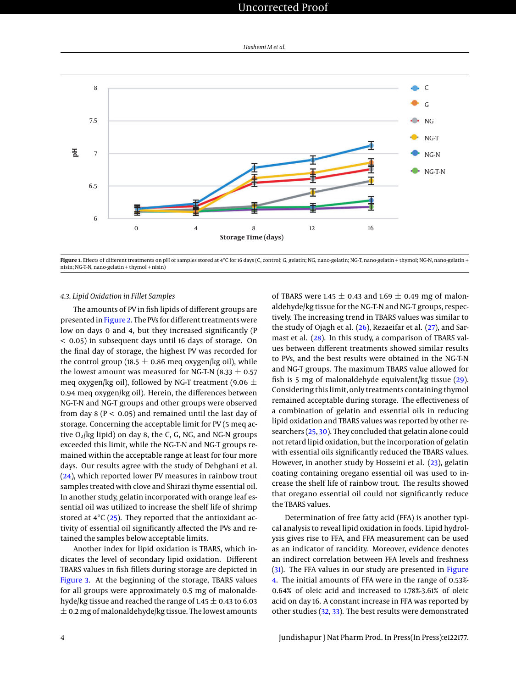<span id="page-3-0"></span>

*Hashemi M et al.*

Figure 1. Effects of different treatments on pH of samples stored at 4°C for 16 days (C, control; G, gelatin; NG, nano-gelatin; NG-T, nano-gelatin + thymol; NG-N, nano-gelatin + nisin; NG-T-N, nano-gelatin + thymol + nisin)

## *4.3. Lipid Oxidation in Fillet Samples*

The amounts of PV in fish lipids of different groups are presented in Figure 2. The PVs for different treatments were low on days 0 and 4, but they increased significantly (P < 0.05) in subsequent days until 16 days of storage. On the final day of storage, the highest PV was recorded for the control group (18.5  $\pm$  0.86 meg oxygen/kg oil), while the lowest amount was measured for NG-T-N (8.33  $\pm$  0.57 meg oxygen/kg oil), followed by NG-T treatment (9.06  $\pm$ 0.94 meq oxygen/kg oil). Herein, the differences between NG-T-N and NG-T groups and other groups were observed from day  $8 (P < 0.05)$  and remained until the last day of storage. Concerning the acceptable limit for PV (5 meq active  $O_2$ /kg lipid) on day 8, the C, G, NG, and NG-N groups exceeded this limit, while the NG-T-N and NG-T groups remained within the acceptable range at least for four more days. Our results agree with the study of Dehghani et al. [\(24\)](#page-7-21), which reported lower PV measures in rainbow trout samples treated with clove and Shirazi thyme essential oil. In another study, gelatin incorporated with orange leaf essential oil was utilized to increase the shelf life of shrimp stored at  $4^{\circ}$ C [\(25\)](#page-7-22). They reported that the antioxidant activity of essential oil significantly affected the PVs and retained the samples below acceptable limits.

Another index for lipid oxidation is TBARS, which indicates the level of secondary lipid oxidation. Different TBARS values in fish fillets during storage are depicted in [Figure 3.](#page-4-1) At the beginning of the storage, TBARS values for all groups were approximately 0.5 mg of malonaldehyde/kg tissue and reached the range of 1.45  $\pm$  0.43 to 6.03  $\pm$  0.2 mg of malonaldehyde/kg tissue. The lowest amounts

of TBARS were 1.45  $\pm$  0.43 and 1.69  $\pm$  0.49 mg of malonaldehyde/kg tissue for the NG-T-N and NG-T groups, respectively. The increasing trend in TBARS values was similar to the study of Ojagh et al. [\(26\)](#page-7-23), Rezaeifar et al. [\(27\)](#page-7-24), and Sarmast et al. [\(28\)](#page-7-25). In this study, a comparison of TBARS values between different treatments showed similar results to PVs, and the best results were obtained in the NG-T-N and NG-T groups. The maximum TBARS value allowed for fish is 5 mg of malonaldehyde equivalent/kg tissue [\(29\)](#page-7-26). Considering this limit, only treatments containing thymol remained acceptable during storage. The effectiveness of a combination of gelatin and essential oils in reducing lipid oxidation and TBARS values was reported by other researchers [\(25,](#page-7-22) [30\)](#page-7-27). They concluded that gelatin alone could not retard lipid oxidation, but the incorporation of gelatin with essential oils significantly reduced the TBARS values. However, in another study by Hosseini et al. [\(23\)](#page-7-20), gelatin coating containing oregano essential oil was used to increase the shelf life of rainbow trout. The results showed that oregano essential oil could not significantly reduce the TBARS values.

Determination of free fatty acid (FFA) is another typical analysis to reveal lipid oxidation in foods. Lipid hydrolysis gives rise to FFA, and FFA measurement can be used as an indicator of rancidity. Moreover, evidence denotes an indirect correlation between FFA levels and freshness [\(31\)](#page-7-28). The FFA values in our study are presented in [Figure](#page-5-0) [4.](#page-5-0) The initial amounts of FFA were in the range of 0.53%- 0.64% of oleic acid and increased to 1.78%-3.61% of oleic acid on day 16. A constant increase in FFA was reported by other studies [\(32,](#page-7-29) [33\)](#page-8-0). The best results were demonstrated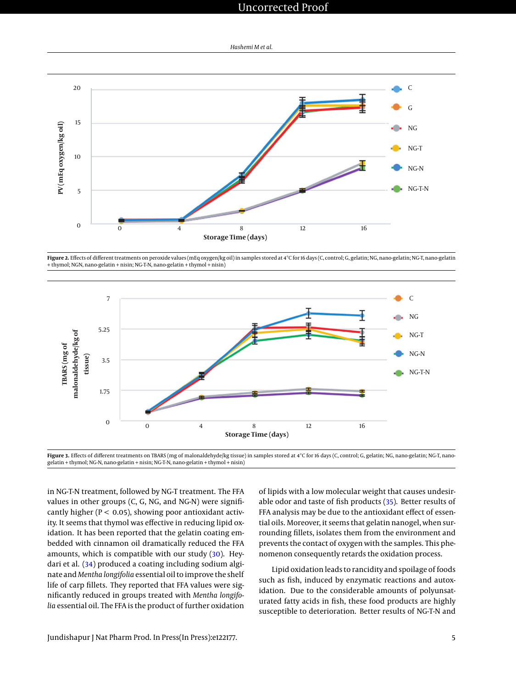<span id="page-4-0"></span>

*Hashemi M et al.*

Figure 2. Effects of different treatments on peroxide values (mEq oxygen/kg oil) in samples stored at 4°C for 16 days (C, control; G, gelatin; NG, nano-gelatin; NG-T, nano-gelatin + thymol; NGN, nano-gelatin + nisin; NG-T-N, nano-gelatin + thymol + nisin)

<span id="page-4-1"></span>

**Figure 3.** Effects of different treatments on TBARS (mg of malonaldehyde/kg tissue) in samples stored at 4°C for 16 days (C, control; G, gelatin; NG, nano-gelatin; NG-T, nanogelatin + thymol; NG-N, nano-gelatin + nisin; NG-T-N, nano-gelatin + thymol + nisin)

in NG-T-N treatment, followed by NG-T treatment. The FFA values in other groups (C, G, NG, and NG-N) were significantly higher ( $P < 0.05$ ), showing poor antioxidant activity. It seems that thymol was effective in reducing lipid oxidation. It has been reported that the gelatin coating embedded with cinnamon oil dramatically reduced the FFA amounts, which is compatible with our study [\(30\)](#page-7-27). Heydari et al. [\(34\)](#page-8-1) produced a coating including sodium alginate and *Mentha longifolia* essential oil to improve the shelf life of carp fillets. They reported that FFA values were significantly reduced in groups treated with *Mentha longifolia* essential oil. The FFA is the product of further oxidation

of lipids with a low molecular weight that causes undesirable odor and taste of fish products [\(35\)](#page-8-2). Better results of FFA analysis may be due to the antioxidant effect of essential oils. Moreover, it seems that gelatin nanogel, when surrounding fillets, isolates them from the environment and prevents the contact of oxygen with the samples. This phenomenon consequently retards the oxidation process.

Lipid oxidation leads to rancidity and spoilage of foods such as fish, induced by enzymatic reactions and autoxidation. Due to the considerable amounts of polyunsaturated fatty acids in fish, these food products are highly susceptible to deterioration. Better results of NG-T-N and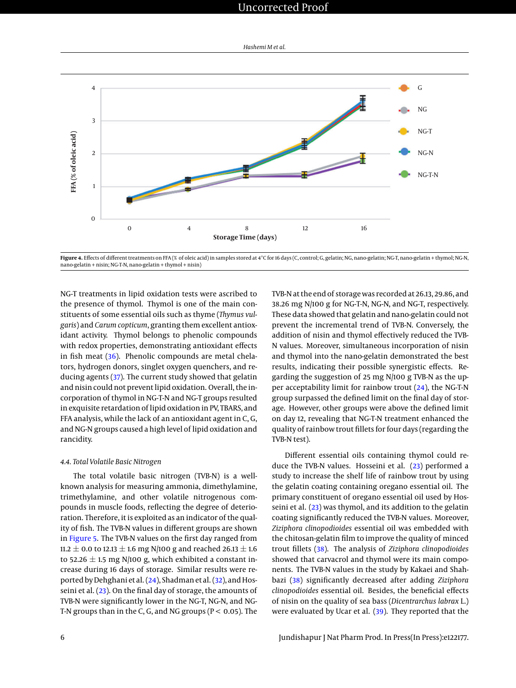<span id="page-5-0"></span>

**Figure 4.** Effects of different treatments on FFA (% of oleic acid) in samples stored at 4°C for 16 days (C, control; G, gelatin; NG, nano-gelatin; NG-T, nano-gelatin + thymol; NG-N, nano-gelatin + nisin; NG-T-N, nano-gelatin + thymol + nisin)

NG-T treatments in lipid oxidation tests were ascribed to the presence of thymol. Thymol is one of the main constituents of some essential oils such as thyme (*Thymus vulgaris*) and *Carum copticum*, granting them excellent antioxidant activity. Thymol belongs to phenolic compounds with redox properties, demonstrating antioxidant effects in fish meat [\(36\)](#page-8-3). Phenolic compounds are metal chelators, hydrogen donors, singlet oxygen quenchers, and reducing agents [\(37\)](#page-8-4). The current study showed that gelatin and nisin could not prevent lipid oxidation. Overall, the incorporation of thymol in NG-T-N and NG-T groups resulted in exquisite retardation of lipid oxidation in PV, TBARS, and FFA analysis, while the lack of an antioxidant agent in C, G, and NG-N groups caused a high level of lipid oxidation and rancidity.

## *4.4. Total Volatile Basic Nitrogen*

The total volatile basic nitrogen (TVB-N) is a wellknown analysis for measuring ammonia, dimethylamine, trimethylamine, and other volatile nitrogenous compounds in muscle foods, reflecting the degree of deterioration. Therefore, it is exploited as an indicator of the quality of fish. The TVB-N values in different groups are shown in [Figure 5.](#page-6-1) The TVB-N values on the first day ranged from 11.2  $\pm$  0.0 to 12.13  $\pm$  1.6 mg N/100 g and reached 26.13  $\pm$  1.6 to 52.26  $\pm$  1.5 mg N/100 g, which exhibited a constant increase during 16 days of storage. Similar results were reported by Dehghani et al. [\(24\)](#page-7-21), Shadman et al. [\(32\)](#page-7-29), and Hosseini et al.  $(23)$ . On the final day of storage, the amounts of TVB-N were significantly lower in the NG-T, NG-N, and NG-T-N groups than in the C, G, and NG groups ( $P < 0.05$ ). The

TVB-N at the end of storage was recorded at 26.13, 29.86, and 38.26 mg N/100 g for NG-T-N, NG-N, and NG-T, respectively. These data showed that gelatin and nano-gelatin could not prevent the incremental trend of TVB-N. Conversely, the addition of nisin and thymol effectively reduced the TVB-N values. Moreover, simultaneous incorporation of nisin and thymol into the nano-gelatin demonstrated the best results, indicating their possible synergistic effects. Regarding the suggestion of 25 mg N/100 g TVB-N as the upper acceptability limit for rainbow trout [\(24\)](#page-7-21), the NG-T-N group surpassed the defined limit on the final day of storage. However, other groups were above the defined limit on day 12, revealing that NG-T-N treatment enhanced the quality of rainbow trout fillets for four days (regarding the TVB-N test).

Different essential oils containing thymol could re-duce the TVB-N values. Hosseini et al. [\(23\)](#page-7-20) performed a study to increase the shelf life of rainbow trout by using the gelatin coating containing oregano essential oil. The primary constituent of oregano essential oil used by Hosseini et al. [\(23\)](#page-7-20) was thymol, and its addition to the gelatin coating significantly reduced the TVB-N values. Moreover, *Ziziphora clinopodioides* essential oil was embedded with the chitosan-gelatin film to improve the quality of minced trout fillets [\(38\)](#page-8-5). The analysis of *Ziziphora clinopodioides* showed that carvacrol and thymol were its main components. The TVB-N values in the study by Kakaei and Shahbazi [\(38\)](#page-8-5) significantly decreased after adding *Ziziphora clinopodioides* essential oil. Besides, the beneficial effects of nisin on the quality of sea bass (*Dicentrarchus labrax* L.) were evaluated by Ucar et al. [\(39\)](#page-8-6). They reported that the

*Hashemi M et al.*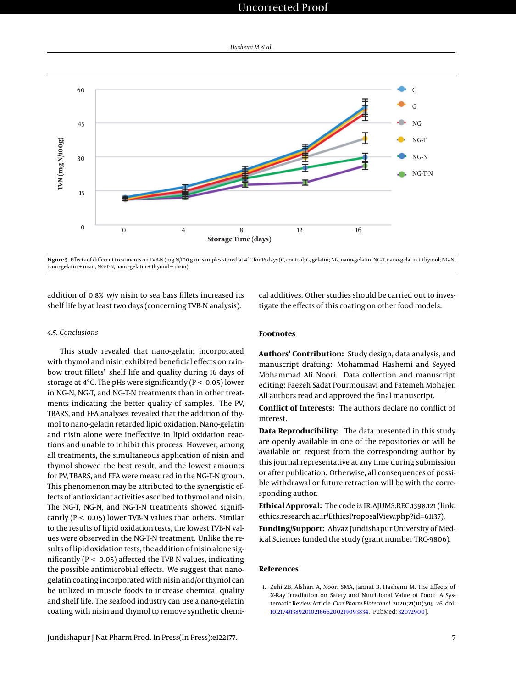*Hashemi M et al.*

<span id="page-6-1"></span>

**Figure 5.** Effects of different treatments on TVB-N (mg N/100 g) in samples stored at 4°C for 16 days (C, control; G, gelatin; NG, nano-gelatin; NG-T, nano-gelatin + thymol; NG-N, nano-gelatin + nisin; NG-T-N, nano-gelatin + thymol + nisin)

addition of 0.8% w/v nisin to sea bass fillets increased its shelf life by at least two days (concerning TVB-N analysis).

cal additives. Other studies should be carried out to investigate the effects of this coating on other food models.

## *4.5. Conclusions*

This study revealed that nano-gelatin incorporated with thymol and nisin exhibited beneficial effects on rainbow trout fillets' shelf life and quality during 16 days of storage at  $4^{\circ}$ C. The pHs were significantly (P < 0.05) lower in NG-N, NG-T, and NG-T-N treatments than in other treatments indicating the better quality of samples. The PV, TBARS, and FFA analyses revealed that the addition of thymol to nano-gelatin retarded lipid oxidation. Nano-gelatin and nisin alone were ineffective in lipid oxidation reactions and unable to inhibit this process. However, among all treatments, the simultaneous application of nisin and thymol showed the best result, and the lowest amounts for PV, TBARS, and FFA were measured in the NG-T-N group. This phenomenon may be attributed to the synergistic effects of antioxidant activities ascribed to thymol and nisin. The NG-T, NG-N, and NG-T-N treatments showed significantly ( $P < 0.05$ ) lower TVB-N values than others. Similar to the results of lipid oxidation tests, the lowest TVB-N values were observed in the NG-T-N treatment. Unlike the results of lipid oxidation tests, the addition of nisin alone significantly ( $P < 0.05$ ) affected the TVB-N values, indicating the possible antimicrobial effects. We suggest that nanogelatin coating incorporated with nisin and/or thymol can be utilized in muscle foods to increase chemical quality and shelf life. The seafood industry can use a nano-gelatin coating with nisin and thymol to remove synthetic chemi-

Jundishapur J Nat Pharm Prod. In Press(In Press):e122177. 7

## **Footnotes**

**Authors' Contribution:** Study design, data analysis, and manuscript drafting: Mohammad Hashemi and Seyyed Mohammad Ali Noori. Data collection and manuscript editing: Faezeh Sadat Pourmousavi and Fatemeh Mohajer. All authors read and approved the final manuscript.

**Conflict of Interests:** The authors declare no conflict of interest.

**Data Reproducibility:** The data presented in this study are openly available in one of the repositories or will be available on request from the corresponding author by this journal representative at any time during submission or after publication. Otherwise, all consequences of possible withdrawal or future retraction will be with the corresponding author.

**Ethical Approval:** The code is IR.AJUMS.REC.1398.121 (link: ethics.research.ac.ir/EthicsProposalView.php?id=61137).

Funding/Support: Ahvaz Jundishapur University of Medical Sciences funded the study (grant number TRC-9806).

## **References**

<span id="page-6-0"></span>1. Zehi ZB, Afshari A, Noori SMA, Jannat B, Hashemi M. The Effects of X-Ray Irradiation on Safety and Nutritional Value of Food: A Systematic Review Article. *Curr Pharm Biotechnol*. 2020;**21**(10):919–26. doi: [10.2174/1389201021666200219093834.](http://dx.doi.org/10.2174/1389201021666200219093834) [PubMed: [32072900\]](http://www.ncbi.nlm.nih.gov/pubmed/32072900).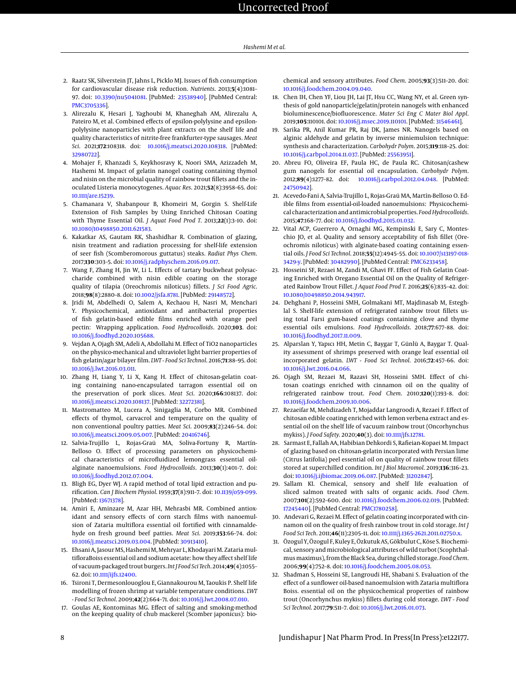- <span id="page-7-0"></span>2. Raatz SK, Silverstein JT, Jahns L, Picklo MJ. Issues of fish consumption for cardiovascular disease risk reduction. *Nutrients*. 2013;**5**(4):1081– 97. doi: [10.3390/nu5041081.](http://dx.doi.org/10.3390/nu5041081) [PubMed: [23538940\]](http://www.ncbi.nlm.nih.gov/pubmed/23538940). [PubMed Central: [PMC3705336\]](https://www.ncbi.nlm.nih.gov/pmc/articles/PMC3705336).
- <span id="page-7-1"></span>3. Alirezalu K, Hesari J, Yaghoubi M, Khaneghah AM, Alirezalu A, Pateiro M, et al. Combined effects of epsilon-polylysine and epsilonpolylysine nanoparticles with plant extracts on the shelf life and quality characteristics of nitrite-free frankfurter-type sausages. *Meat Sci*. 2021;**172**:108318. doi: [10.1016/j.meatsci.2020.108318.](http://dx.doi.org/10.1016/j.meatsci.2020.108318) [PubMed: [32980722\]](http://www.ncbi.nlm.nih.gov/pubmed/32980722).
- <span id="page-7-2"></span>4. Mohajer F, Khanzadi S, Keykhosravy K, Noori SMA, Azizzadeh M, Hashemi M. Impact of gelatin nanogel coating containing thymol and nisin on the microbial quality of rainbow trout fillets and the inoculated Listeria monocytogenes. *Aquac Res*. 2021;**52**(8):3958–65. doi: [10.1111/are.15239.](http://dx.doi.org/10.1111/are.15239)
- <span id="page-7-3"></span>5. Chamanara V, Shabanpour B, Khomeiri M, Gorgin S. Shelf-Life Extension of Fish Samples by Using Enriched Chitosan Coating with Thyme Essential Oil. *J Aquat Food Prod T*. 2013;**22**(1):3–10. doi: [10.1080/10498850.2011.621583.](http://dx.doi.org/10.1080/10498850.2011.621583)
- <span id="page-7-4"></span>6. Kakatkar AS, Gautam RK, Shashidhar R. Combination of glazing, nisin treatment and radiation processing for shelf-life extension of seer fish (Scomberomorous guttatus) steaks. *Radiat Phys Chem*. 2017;**130**:303–5. doi: [10.1016/j.radphyschem.2016.09.017.](http://dx.doi.org/10.1016/j.radphyschem.2016.09.017)
- <span id="page-7-5"></span>7. Wang F, Zhang H, Jin W, Li L. Effects of tartary buckwheat polysaccharide combined with nisin edible coating on the storage quality of tilapia (Oreochromis niloticus) fillets. *J Sci Food Agric*. 2018;**98**(8):2880–8. doi: [10.1002/jsfa.8781.](http://dx.doi.org/10.1002/jsfa.8781) [PubMed: [29148572\]](http://www.ncbi.nlm.nih.gov/pubmed/29148572).
- <span id="page-7-6"></span>8. Jridi M, Abdelhedi O, Salem A, Kechaou H, Nasri M, Menchari Y. Physicochemical, antioxidant and antibacterial properties of fish gelatin-based edible films enriched with orange peel pectin: Wrapping application. *Food Hydrocolloids*. 2020;**103**. doi: [10.1016/j.foodhyd.2020.105688.](http://dx.doi.org/10.1016/j.foodhyd.2020.105688)
- 9. Vejdan A, Ojagh SM, Adeli A, Abdollahi M. Effect of TiO2 nanoparticles on the physico-mechanical and ultraviolet light barrier properties of fish gelatin/agar bilayer film. *LWT - Food Sci Technol*. 2016;**71**:88–95. doi: [10.1016/j.lwt.2016.03.011.](http://dx.doi.org/10.1016/j.lwt.2016.03.011)
- <span id="page-7-7"></span>10. Zhang H, Liang Y, Li X, Kang H. Effect of chitosan-gelatin coating containing nano-encapsulated tarragon essential oil on the preservation of pork slices. *Meat Sci*. 2020;**166**:108137. doi: [10.1016/j.meatsci.2020.108137.](http://dx.doi.org/10.1016/j.meatsci.2020.108137) [PubMed: [32272381\]](http://www.ncbi.nlm.nih.gov/pubmed/32272381).
- <span id="page-7-8"></span>11. Mastromatteo M, Lucera A, Sinigaglia M, Corbo MR. Combined effects of thymol, carvacrol and temperature on the quality of non conventional poultry patties. *Meat Sci*. 2009;**83**(2):246–54. doi: [10.1016/j.meatsci.2009.05.007.](http://dx.doi.org/10.1016/j.meatsci.2009.05.007) [PubMed: [20416746\]](http://www.ncbi.nlm.nih.gov/pubmed/20416746).
- <span id="page-7-9"></span>12. Salvia-Trujillo L, Rojas-Graü MA, Soliva-Fortuny R, Martín-Belloso O. Effect of processing parameters on physicochemical characteristics of microfluidized lemongrass essential oilalginate nanoemulsions. *Food Hydrocolloids*. 2013;**30**(1):401–7. doi: [10.1016/j.foodhyd.2012.07.004.](http://dx.doi.org/10.1016/j.foodhyd.2012.07.004)
- <span id="page-7-10"></span>13. Bligh EG, Dyer WJ. A rapid method of total lipid extraction and purification. *Can J Biochem Physiol*. 1959;**37**(8):911–7. doi: [10.1139/o59-099.](http://dx.doi.org/10.1139/o59-099) [PubMed: [13671378\]](http://www.ncbi.nlm.nih.gov/pubmed/13671378).
- <span id="page-7-11"></span>14. Amiri E, Aminzare M, Azar HH, Mehrasbi MR. Combined antioxidant and sensory effects of corn starch films with nanoemulsion of Zataria multiflora essential oil fortified with cinnamaldehyde on fresh ground beef patties. *Meat Sci*. 2019;**153**:66–74. doi: [10.1016/j.meatsci.2019.03.004.](http://dx.doi.org/10.1016/j.meatsci.2019.03.004) [PubMed: [30913410\]](http://www.ncbi.nlm.nih.gov/pubmed/30913410).
- <span id="page-7-12"></span>15. Ehsani A, Jasour MS, Hashemi M, Mehryar L, Khodayari M. ZatariamultifloraBoiss essential oil and sodium acetate: how they affect shelf life of vacuum-packaged trout burgers. *Int J Food Sci Tech*. 2014;**49**(4):1055– 62. doi: [10.1111/ijfs.12400.](http://dx.doi.org/10.1111/ijfs.12400)
- <span id="page-7-13"></span>16. Tsironi T, Dermesonlouoglou E, Giannakourou M, Taoukis P. Shelf life modelling of frozen shrimp at variable temperature conditions. *LWT - Food Sci Technol*. 2009;**42**(2):664–71. doi: [10.1016/j.lwt.2008.07.010.](http://dx.doi.org/10.1016/j.lwt.2008.07.010)
- <span id="page-7-14"></span>17. Goulas AE, Kontominas MG. Effect of salting and smoking-method on the keeping quality of chub mackerel (Scomber japonicus): bio-

chemical and sensory attributes. *Food Chem*. 2005;**93**(3):511–20. doi: [10.1016/j.foodchem.2004.09.040.](http://dx.doi.org/10.1016/j.foodchem.2004.09.040)

- <span id="page-7-15"></span>18. Chen IH, Chen YF, Liou JH, Lai JT, Hsu CC, Wang NY, et al. Green synthesis of gold nanoparticle/gelatin/protein nanogels with enhanced bioluminescence/biofluorescence. *Mater Sci Eng C Mater Biol Appl*. 2019;**105**:110101. doi: [10.1016/j.msec.2019.110101.](http://dx.doi.org/10.1016/j.msec.2019.110101) [PubMed: [31546461\]](http://www.ncbi.nlm.nih.gov/pubmed/31546461).
- <span id="page-7-16"></span>19. Sarika PR, Anil Kumar PR, Raj DK, James NR. Nanogels based on alginic aldehyde and gelatin by inverse miniemulsion technique: synthesis and characterization. *Carbohydr Polym*. 2015;**119**:118–25. doi: [10.1016/j.carbpol.2014.11.037.](http://dx.doi.org/10.1016/j.carbpol.2014.11.037) [PubMed: [25563951\]](http://www.ncbi.nlm.nih.gov/pubmed/25563951).
- <span id="page-7-17"></span>20. Abreu FO, Oliveira EF, Paula HC, de Paula RC. Chitosan/cashew gum nanogels for essential oil encapsulation. *Carbohydr Polym*. 2012;**89**(4):1277–82. doi: [10.1016/j.carbpol.2012.04.048.](http://dx.doi.org/10.1016/j.carbpol.2012.04.048) [PubMed: [24750942\]](http://www.ncbi.nlm.nih.gov/pubmed/24750942).
- <span id="page-7-18"></span>21. Acevedo-Fani A, Salvia-Trujillo L, Rojas-Graü MA, Martín-Belloso O. Edible films from essential-oil-loaded nanoemulsions: Physicochemical characterization and antimicrobial properties. *Food Hydrocolloids*. 2015;**47**:168–77. doi: [10.1016/j.foodhyd.2015.01.032.](http://dx.doi.org/10.1016/j.foodhyd.2015.01.032)
- <span id="page-7-19"></span>22. Vital ACP, Guerrero A, Ornaghi MG, Kempinski E, Sary C, Monteschio JO, et al. Quality and sensory acceptability of fish fillet (Oreochromis niloticus) with alginate-based coating containing essential oils. *J Food Sci Technol*. 2018;**55**(12):4945–55. doi: [10.1007/s13197-018-](http://dx.doi.org/10.1007/s13197-018-3429-y) [3429-y.](http://dx.doi.org/10.1007/s13197-018-3429-y) [PubMed: [30482990\]](http://www.ncbi.nlm.nih.gov/pubmed/30482990). [PubMed Central: [PMC6233458\]](https://www.ncbi.nlm.nih.gov/pmc/articles/PMC6233458).
- <span id="page-7-20"></span>23. Hosseini SF, Rezaei M, Zandi M, Ghavi FF. Effect of Fish Gelatin Coating Enriched with Oregano Essential Oil on the Quality of Refrigerated Rainbow Trout Fillet. *J Aquat Food Prod T*. 2016;**25**(6):835–42. doi: [10.1080/10498850.2014.943917.](http://dx.doi.org/10.1080/10498850.2014.943917)
- <span id="page-7-21"></span>24. Dehghani P, Hosseini SMH, Golmakani MT, Majdinasab M, Esteghlal S. Shelf-life extension of refrigerated rainbow trout fillets using total Farsi gum-based coatings containing clove and thyme essential oils emulsions. *Food Hydrocolloids*. 2018;**77**:677–88. doi: [10.1016/j.foodhyd.2017.11.009.](http://dx.doi.org/10.1016/j.foodhyd.2017.11.009)
- <span id="page-7-22"></span>25. Alparslan Y, Yapıcı HH, Metin C, Baygar T, Günlü A, Baygar T. Quality assessment of shrimps preserved with orange leaf essential oil incorporated gelatin. *LWT - Food Sci Technol*. 2016;**72**:457–66. doi: [10.1016/j.lwt.2016.04.066.](http://dx.doi.org/10.1016/j.lwt.2016.04.066)
- <span id="page-7-23"></span>26. Ojagh SM, Rezaei M, Razavi SH, Hosseini SMH. Effect of chitosan coatings enriched with cinnamon oil on the quality of refrigerated rainbow trout. *Food Chem*. 2010;**120**(1):193–8. doi: [10.1016/j.foodchem.2009.10.006.](http://dx.doi.org/10.1016/j.foodchem.2009.10.006)
- <span id="page-7-24"></span>27. Rezaeifar M, Mehdizadeh T, Mojaddar Langroodi A, Rezaei F. Effect of chitosan edible coating enriched with lemon verbena extract and essential oil on the shelf life of vacuum rainbow trout (Oncorhynchus mykiss). *J Food Safety*. 2020;**40**(3). doi: [10.1111/jfs.12781.](http://dx.doi.org/10.1111/jfs.12781)
- <span id="page-7-25"></span>28. Sarmast E, Fallah AA, Habibian Dehkordi S, Rafieian-Kopaei M. Impact of glazing based on chitosan-gelatin incorporated with Persian lime (Citrus latifolia) peel essential oil on quality of rainbow trout fillets stored at superchilled condition. *Int J Biol Macromol*. 2019;**136**:316–23. doi: [10.1016/j.ijbiomac.2019.06.087.](http://dx.doi.org/10.1016/j.ijbiomac.2019.06.087) [PubMed: [31202847\]](http://www.ncbi.nlm.nih.gov/pubmed/31202847).
- <span id="page-7-26"></span>29. Sallam KI. Chemical, sensory and shelf life evaluation of sliced salmon treated with salts of organic acids. *Food Chem*. 2007;**101**(2):592–600. doi: [10.1016/j.foodchem.2006.02.019.](http://dx.doi.org/10.1016/j.foodchem.2006.02.019) [PubMed: [17245440\]](http://www.ncbi.nlm.nih.gov/pubmed/17245440). [PubMed Central: [PMC1780258\]](https://www.ncbi.nlm.nih.gov/pmc/articles/PMC1780258).
- <span id="page-7-27"></span>30. Andevari G, Rezaei M. Effect of gelatin coating incorporated with cinnamon oil on the quality of fresh rainbow trout in cold storage. *Int J Food Sci Tech*. 2011;**46**(11):2305–11. doi: [10.1111/j.1365-2621.2011.02750.x.](http://dx.doi.org/10.1111/j.1365-2621.2011.02750.x)
- <span id="page-7-28"></span>31. Özogul Y, Özogul F, Kuley E, Özkutuk AS, Gökbulut C, Köse S. Biochemical, sensory and microbiological attributes of wild turbot (Scophthalmusmaximus), from the Black Sea, during chilled storage. *Food Chem*. 2006;**99**(4):752–8. doi: [10.1016/j.foodchem.2005.08.053.](http://dx.doi.org/10.1016/j.foodchem.2005.08.053)
- <span id="page-7-29"></span>32. Shadman S, Hosseini SE, Langroudi HE, Shabani S. Evaluation of the effect of a sunflower oil-based nanoemulsion with Zataria multiflora Boiss. essential oil on the physicochemical properties of rainbow trout (Oncorhynchus mykiss) fillets during cold storage. *LWT - Food Sci Technol*. 2017;**79**:511–7. doi: [10.1016/j.lwt.2016.01.073.](http://dx.doi.org/10.1016/j.lwt.2016.01.073)

8 Jundishapur J Nat Pharm Prod. In Press(In Press):e122177.